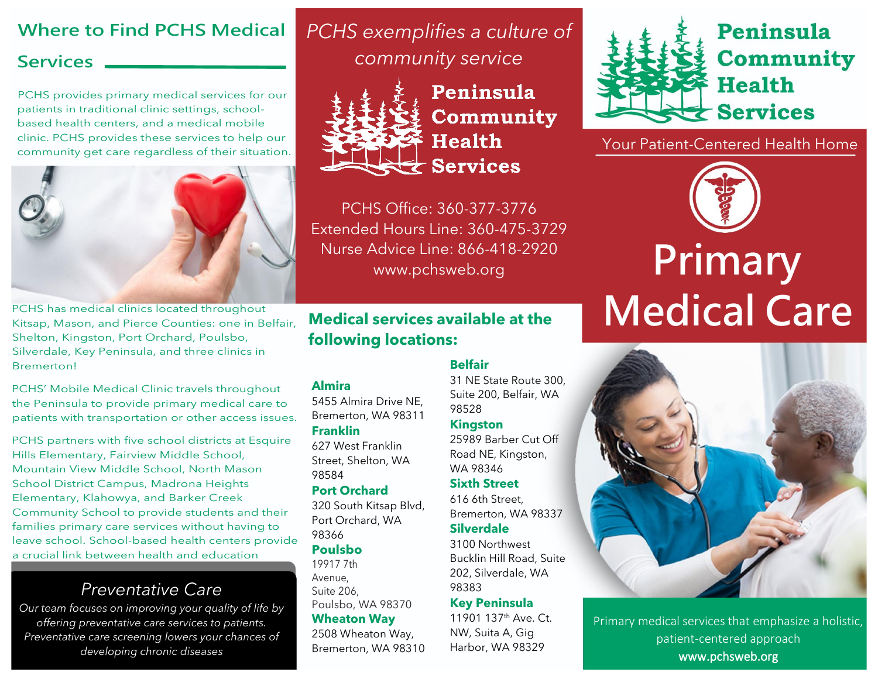# **Where to Find PCHS Medical**

## **Services**

PCHS provides primary medical services for our patients in traditional clinic settings, schoolbased health centers, and a medical mobile clinic. PCHS provides these services to help our community get care regardless of their situation.



PCHS has medical clinics located throughout Kitsap, Mason, and Pierce Counties: one in Belfair, Shelton, Kingston, Port Orchard, Poulsbo, Silverdale, Key Peninsula, and three clinics in Bremerton!

PCHS' Mobile Medical Clinic travels throughout the Peninsula to provide primary medical care to patients with transportation or other access issues.

PCHS partners with five school districts at Esquire Hills Elementary, Fairview Middle School, Mountain View Middle School, North Mason School District Campus, Madrona Heights Elementary, Klahowya, and Barker Creek Community School to provide students and their families primary care services without having to leave school. School-based health centers provide a crucial link between health and education

# *Preventative Care*

*Our team focuses on improving your quality of life by offering preventative care services to patients. Preventative care screening lowers your chances of developing chronic diseases*

*PCHS exemplifies a culture of community service*



**Almira**

**Franklin**

98584

98366 **Poulsbo** 19917 7th Avenue, Suite 206,

5455 Almira Drive NE, Bremerton, WA 98311

627 West Franklin Street, Shelton, WA

**Port Orchard**

320 South Kitsap Blvd, Port Orchard, WA

Poulsbo, WA 98370 **Wheaton Way** 2508 Wheaton Way, Bremerton, WA 98310

Peninsula **Community Health Services** 

PCHS Office: 360-377-3776 Extended Hours Line: 360-475-3729 Nurse Advice Line: 866-418-2920

### **Medical services available at the following locations:**

#### **Belfair**

31 NE State Route 300, Suite 200, Belfair, WA 98528

#### **Kingston**

25989 Barber Cut Off Road NE, Kingston, WA 98346

#### **Sixth Street**

616 6th Street, Bremerton, WA 98337

#### **Silverdale**

3100 Northwest Bucklin Hill Road, Suite 202, Silverdale, WA 98383

#### **Key Peninsula**

11901 137th Ave. Ct. NW, Suita A, Gig Harbor, WA 98329



Your Patient-Centered Health Home



# Advice Line: 866-418-2920<br>www.pchsweb.org **Primary Medical Care**



Primary medical services that emphasize a holistic, patient-centered approach www.pchsweb.org